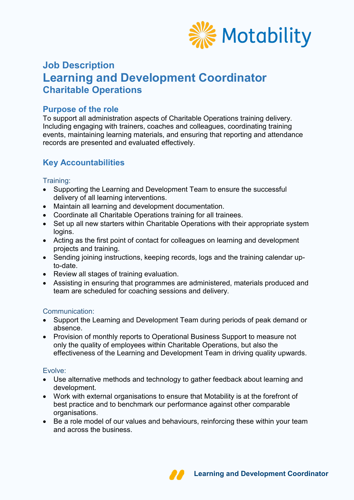

# **Job Description Learning and Development Coordinator Charitable Operations**

### **Purpose of the role**

To support all administration aspects of Charitable Operations training delivery. Including engaging with trainers, coaches and colleagues, coordinating training events, maintaining learning materials, and ensuring that reporting and attendance records are presented and evaluated effectively.

# **Key Accountabilities**

#### Training:

- Supporting the Learning and Development Team to ensure the successful delivery of all learning interventions.
- Maintain all learning and development documentation.
- Coordinate all Charitable Operations training for all trainees.
- Set up all new starters within Charitable Operations with their appropriate system logins.
- Acting as the first point of contact for colleagues on learning and development projects and training.
- Sending joining instructions, keeping records, logs and the training calendar upto-date.
- Review all stages of training evaluation.
- Assisting in ensuring that programmes are administered, materials produced and team are scheduled for coaching sessions and delivery.

#### Communication:

- Support the Learning and Development Team during periods of peak demand or absence.
- Provision of monthly reports to Operational Business Support to measure not only the quality of employees within Charitable Operations, but also the effectiveness of the Learning and Development Team in driving quality upwards.

#### Evolve:

- Use alternative methods and technology to gather feedback about learning and development.
- Work with external organisations to ensure that Motability is at the forefront of best practice and to benchmark our performance against other comparable organisations.
- Be a role model of our values and behaviours, reinforcing these within your team and across the business.

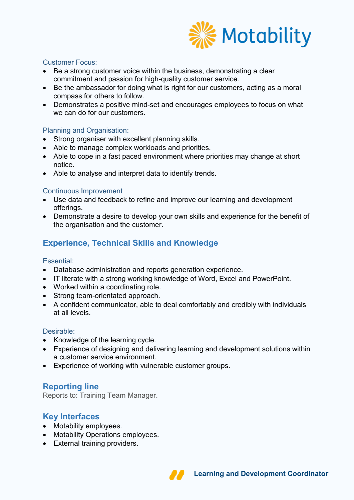

#### Customer Focus:

- Be a strong customer voice within the business, demonstrating a clear commitment and passion for high-quality customer service.
- Be the ambassador for doing what is right for our customers, acting as a moral compass for others to follow.
- Demonstrates a positive mind-set and encourages employees to focus on what we can do for our customers.

#### Planning and Organisation:

- Strong organiser with excellent planning skills.
- Able to manage complex workloads and priorities.
- Able to cope in a fast paced environment where priorities may change at short notice.
- Able to analyse and interpret data to identify trends.

#### Continuous Improvement

- Use data and feedback to refine and improve our learning and development offerings.
- Demonstrate a desire to develop your own skills and experience for the benefit of the organisation and the customer.

# **Experience, Technical Skills and Knowledge**

#### Essential:

- Database administration and reports generation experience.
- IT literate with a strong working knowledge of Word, Excel and PowerPoint.
- Worked within a coordinating role.
- Strong team-orientated approach.
- A confident communicator, able to deal comfortably and credibly with individuals at all levels.

#### Desirable:

- Knowledge of the learning cycle.
- Experience of designing and delivering learning and development solutions within a customer service environment.
- Experience of working with vulnerable customer groups.

## **Reporting line**

Reports to: Training Team Manager.

### **Key Interfaces**

- Motability employees.
- Motability Operations employees.
- External training providers.